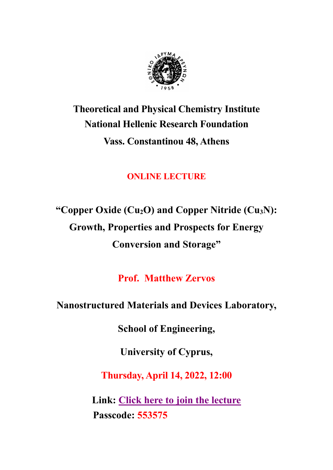

# **Theoretical and Physical Chemistry Institute National Hellenic Research Foundation Vass. Constantinou 48, Athens**

# **ONLINE LECTURE**

**"Copper Oxide (Cu2O) and Copper Nitride (Cu3N): Growth, Properties and Prospects for Energy Conversion and Storage"**

**Prof. Matthew Zervos**

# **Nanostructured Materials and Devices Laboratory,**

**School of Engineering,**

**University of Cyprus,**

**Thursday, April 14, 2022, 12:00**

**Link: [Click here to join the lecture](https://us06web.zoom.us/j/82404720610?pwd=M29rMFAyVVl1b2dGeWtqTm54SVYwUT09) Passcode: 553575**